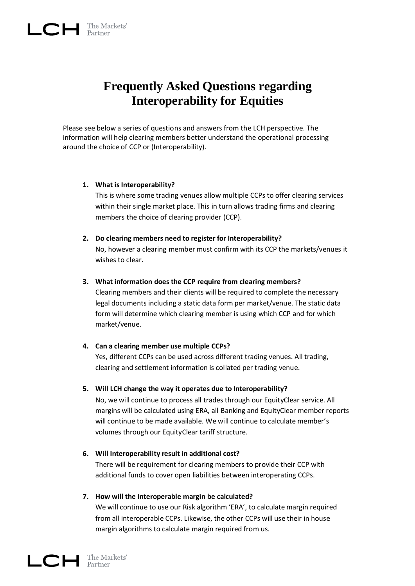# **Frequently Asked Questions regarding Interoperability for Equities**

Please see below a series of questions and answers from the LCH perspective. The information will help clearing members better understand the operational processing around the choice of CCP or (Interoperability).

# **1. What is Interoperability?**

This is where some trading venues allow multiple CCPs to offer clearing services within their single market place. This in turn allows trading firms and clearing members the choice of clearing provider (CCP).

# **2. Do clearing members need to register for Interoperability?**

No, however a clearing member must confirm with its CCP the markets/venues it wishes to clear.

# **3. What information does the CCP require from clearing members?**

Clearing members and their clients will be required to complete the necessary legal documents including a static data form per market/venue. The static data form will determine which clearing member is using which CCP and for which market/venue.

# **4. Can a clearing member use multiple CCPs?**

Yes, different CCPs can be used across different trading venues. All trading, clearing and settlement information is collated per trading venue.

# **5. Will LCH change the way it operates due to Interoperability?**

No, we will continue to process all trades through our EquityClear service. All margins will be calculated using ERA, all Banking and EquityClear member reports will continue to be made available. We will continue to calculate member's volumes through our EquityClear tariff structure.

**6. Will Interoperability result in additional cost?** There will be requirement for clearing members to provide their CCP with additional funds to cover open liabilities between interoperating CCPs.

# **7. How will the interoperable margin be calculated?**

We will continue to use our Risk algorithm 'ERA', to calculate margin required from all interoperable CCPs. Likewise, the other CCPs will use their in house margin algorithms to calculate margin required from us.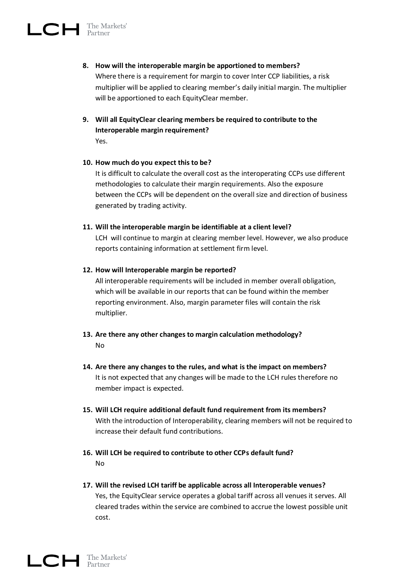- **8. How will the interoperable margin be apportioned to members?** Where there is a requirement for margin to cover Inter CCP liabilities, a risk multiplier will be applied to clearing member's daily initial margin. The multiplier will be apportioned to each EquityClear member.
- **9. Will all EquityClear clearing members be required to contribute to the Interoperable margin requirement?** Yes.

#### **10. How much do you expect this to be?**

It is difficult to calculate the overall cost as the interoperating CCPs use different methodologies to calculate their margin requirements. Also the exposure between the CCPs will be dependent on the overall size and direction of business generated by trading activity.

# **11. Will the interoperable margin be identifiable at a client level?**

LCH will continue to margin at clearing member level. However, we also produce reports containing information at settlement firm level.

# **12. How will Interoperable margin be reported?**

All interoperable requirements will be included in member overall obligation, which will be available in our reports that can be found within the member reporting environment. Also, margin parameter files will contain the risk multiplier.

- **13. Are there any other changes to margin calculation methodology?** No
- **14. Are there any changes to the rules, and what is the impact on members?**  It is not expected that any changes will be made to the LCH rules therefore no member impact is expected.
- **15. Will LCH require additional default fund requirement from its members?** With the introduction of Interoperability, clearing members will not be required to increase their default fund contributions.
- **16. Will LCH be required to contribute to other CCPs default fund?** No
- **17. Will the revised LCH tariff be applicable across all Interoperable venues?** Yes, the EquityClear service operates a global tariff across all venues it serves. All cleared trades within the service are combined to accrue the lowest possible unit cost.

 $LCH$  The Markets'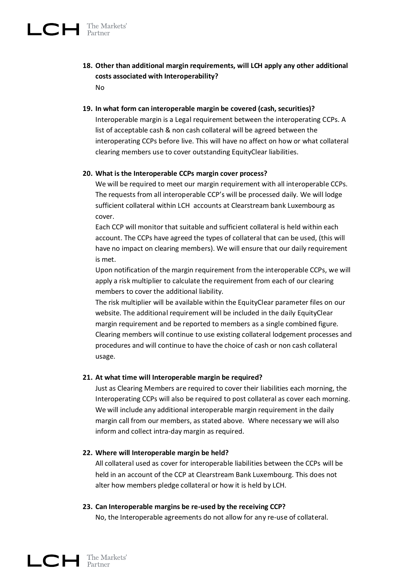- **18. Other than additional margin requirements, will LCH apply any other additional costs associated with Interoperability?** No
- **19. In what form can interoperable margin be covered (cash, securities)?**

Interoperable margin is a Legal requirement between the interoperating CCPs. A list of acceptable cash & non cash collateral will be agreed between the interoperating CCPs before live. This will have no affect on how or what collateral clearing members use to cover outstanding EquityClear liabilities.

#### **20. What is the Interoperable CCPs margin cover process?**

We will be required to meet our margin requirement with all interoperable CCPs. The requests from all interoperable CCP's will be processed daily. We will lodge sufficient collateral within LCH accounts at Clearstream bank Luxembourg as cover.

Each CCP will monitor that suitable and sufficient collateral is held within each account. The CCPs have agreed the types of collateral that can be used, (this will have no impact on clearing members). We will ensure that our daily requirement is met.

Upon notification of the margin requirement from the interoperable CCPs, we will apply a risk multiplier to calculate the requirement from each of our clearing members to cover the additional liability.

The risk multiplier will be available within the EquityClear parameter files on our website. The additional requirement will be included in the daily EquityClear margin requirement and be reported to members as a single combined figure. Clearing members will continue to use existing collateral lodgement processes and procedures and will continue to have the choice of cash or non cash collateral usage.

# **21. At what time will Interoperable margin be required?**

Just as Clearing Members are required to cover their liabilities each morning, the Interoperating CCPs will also be required to post collateral as cover each morning. We will include any additional interoperable margin requirement in the daily margin call from our members, as stated above. Where necessary we will also inform and collect intra-day margin as required.

#### **22. Where will Interoperable margin be held?**

All collateral used as cover for interoperable liabilities between the CCPs will be held in an account of the CCP at Clearstream Bank Luxembourg. This does not alter how members pledge collateral or how it is held by LCH.

#### **23. Can Interoperable margins be re-used by the receiving CCP?**

No, the Interoperable agreements do not allow for any re-use of collateral.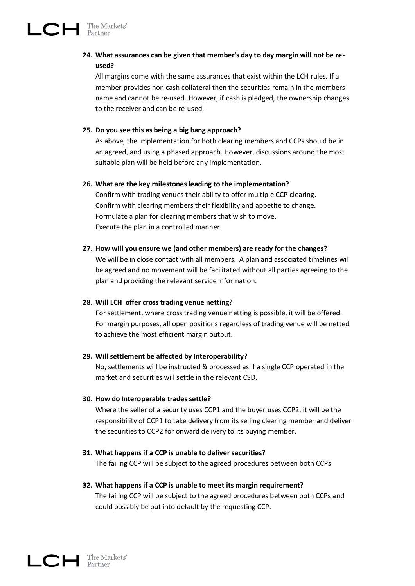# **24. What assurances can be given that member's day to day margin will not be reused?**

All margins come with the same assurances that exist within the LCH rules. If a member provides non cash collateral then the securities remain in the members name and cannot be re-used. However, if cash is pledged, the ownership changes to the receiver and can be re-used.

# **25. Do you see this as being a big bang approach?**

As above, the implementation for both clearing members and CCPs should be in an agreed, and using a phased approach. However, discussions around the most suitable plan will be held before any implementation.

#### **26. What are the key milestones leading to the implementation?**

Confirm with trading venues their ability to offer multiple CCP clearing. Confirm with clearing members their flexibility and appetite to change. Formulate a plan for clearing members that wish to move. Execute the plan in a controlled manner.

# **27. How will you ensure we (and other members) are ready for the changes?**

We will be in close contact with all members. A plan and associated timelines will be agreed and no movement will be facilitated without all parties agreeing to the plan and providing the relevant service information.

#### **28. Will LCH offer cross trading venue netting?**

For settlement, where cross trading venue netting is possible, it will be offered. For margin purposes, all open positions regardless of trading venue will be netted to achieve the most efficient margin output.

#### **29. Will settlement be affected by Interoperability?**

No, settlements will be instructed & processed as if a single CCP operated in the market and securities will settle in the relevant CSD.

#### **30. How do Interoperable trades settle?**

Where the seller of a security uses CCP1 and the buyer uses CCP2, it will be the responsibility of CCP1 to take delivery from its selling clearing member and deliver the securities to CCP2 for onward delivery to its buying member.

# **31. What happens if a CCP is unable to deliver securities?**

The failing CCP will be subject to the agreed procedures between both CCPs

#### **32. What happens if a CCP is unable to meet its margin requirement?**

The failing CCP will be subject to the agreed procedures between both CCPs and could possibly be put into default by the requesting CCP.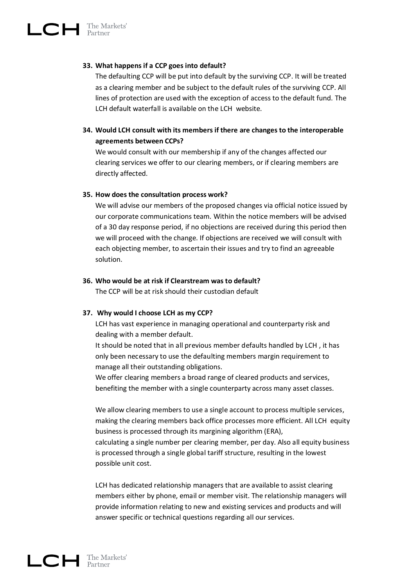# **33. What happens if a CCP goes into default?**

The defaulting CCP will be put into default by the surviving CCP. It will be treated as a clearing member and be subject to the default rules of the surviving CCP. All lines of protection are used with the exception of access to the default fund. The LCH default waterfall is available on the LCH website.

# **34. Would LCH consult with its members if there are changes to the interoperable agreements between CCPs?**

We would consult with our membership if any of the changes affected our clearing services we offer to our clearing members, or if clearing members are directly affected.

#### **35. How does the consultation process work?**

We will advise our members of the proposed changes via official notice issued by our corporate communications team. Within the notice members will be advised of a 30 day response period, if no objections are received during this period then we will proceed with the change. If objections are received we will consult with each objecting member, to ascertain their issues and try to find an agreeable solution.

#### **36. Who would be at risk if Clearstream was to default?**

The CCP will be at risk should their custodian default

#### **37. Why would I choose LCH as my CCP?**

LCH has vast experience in managing operational and counterparty risk and dealing with a member default.

It should be noted that in all previous member defaults handled by LCH , it has only been necessary to use the defaulting members margin requirement to manage all their outstanding obligations.

We offer clearing members a broad range of cleared products and services, benefiting the member with a single counterparty across many asset classes.

We allow clearing members to use a single account to process multiple services, making the clearing members back office processes more efficient. All LCH equity business is processed through its margining algorithm (ERA), calculating a single number per clearing member, per day. Also all equity business is processed through a single global tariff structure, resulting in the lowest possible unit cost.

LCH has dedicated relationship managers that are available to assist clearing members either by phone, email or member visit. The relationship managers will provide information relating to new and existing services and products and will answer specific or technical questions regarding all our services.